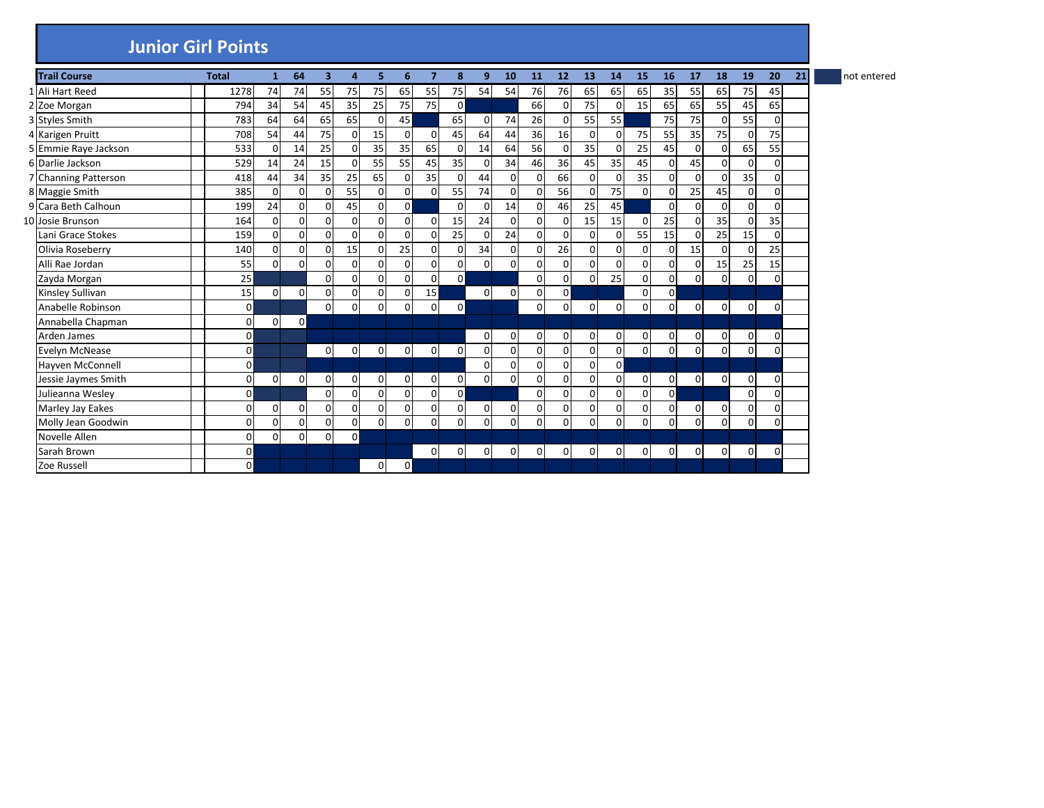## **Junior Girl Points**

| <b>Trail Course</b>  | <b>Total</b> | $\mathbf{1}$   | 64          | 3        | 4              | 5.             | 6              | 7              | 8              | 9           | 10             | 11             | 12             | 13          | 14           | 15             | 16             | 17          | 18             | 19             | 20             | 21 | not entered |
|----------------------|--------------|----------------|-------------|----------|----------------|----------------|----------------|----------------|----------------|-------------|----------------|----------------|----------------|-------------|--------------|----------------|----------------|-------------|----------------|----------------|----------------|----|-------------|
| 1 Ali Hart Reed      | 1278         | 74             | 74          | 55       | 75             | 75             | 65             | 55             | 75             | 54          | 54             | 76             | 76             | 65          | 65           | 65             | 35             | 55          | 65             | 75             | 45             |    |             |
| 2 Zoe Morgan         | 794          | 34             | 54          | 45       | 35             | 25             | 75             | 75             | $\Omega$       |             |                | 66             | 0              | 75          |              | 15             | 65             | 65          | 55             | 45             | 65             |    |             |
| 3 Styles Smith       | 783          | 64             | 64          | 65       | 65             | $\Omega$       | 45             |                | 65             | 0           | 74             | 26             | $\Omega$       | 55          | 55           |                | 75             | 75          | $\Omega$       | 55             | $\Omega$       |    |             |
| 4 Karigen Pruitt     | 708          | 54             | 44          | 75       | $\overline{0}$ | 15             | $\Omega$       | $\mathsf{o}$   | 45             | 64          | 44             | 36             | 16             | $\mathbf 0$ |              | 75             | 55             | 35          | 75             | $\mathbf{0}$   | 75             |    |             |
| 5 Emmie Raye Jackson | 533          | $\Omega$       | 14          | 25       | $\Omega$       | 35             | 35             | 65             | $\Omega$       | 14          | 64             | 56             | $\Omega$       | 35          |              | 25             | 45             | $\Omega$    | 0              | 65             | 55             |    |             |
| 6 Darlie Jackson     | 529          | 14             | 24          | 15       | $\Omega$       | 55             | 55             | 45             | 35             | $\Omega$    | 34             | 46             | 36             | 45          | 35           | 45             | $\Omega$       | 45          | $\Omega$       | $\Omega$       | $\Omega$       |    |             |
| 7 Channing Patterson | 418          | 44             | 34          | 35       | 25             | 65             | $\Omega$       | 35             | $\Omega$       | 44          | 0              | 0              | 66             | 0           |              | 35             | $\Omega$       | $\Omega$    | $\Omega$       | 35             | 0              |    |             |
| 8 Maggie Smith       | 385          | $\Omega$       | $\Omega$    | O        | 55             | $\Omega$       | $\Omega$       | $\Omega$       | 55             | 74          | $\Omega$       | 0              | 56             | $\Omega$    | 75           | $\Omega$       | $\Omega$       | 25          | 45             | $\mathbf 0$    | $\Omega$       |    |             |
| 9 Cara Beth Calhoun  | 199          | 24             | $\Omega$    | $\Omega$ | 45             | $\Omega$       | $\Omega$       |                | $\Omega$       | $\Omega$    | 14             | $\Omega$       | 46             | 25          | 45           |                | $\Omega$       | $\Omega$    | $\Omega$       | $\Omega$       | $\Omega$       |    |             |
| 10 Josie Brunson     | 164          | $\mathbf 0$    | $\mathbf 0$ | 0        | $\mathbf 0$    | $\Omega$       | $\Omega$       | $\Omega$       | 15             | 24          | 0              | 0              | 0              | 15          | 15           | $\Omega$       | 25             | $\Omega$    | 35             | $\mathbf 0$    | 35             |    |             |
| Lani Grace Stokes    | 159          | $\mathbf 0$    | $\Omega$    | $\Omega$ | $\Omega$       | $\mathbf 0$    | $\Omega$       | $\Omega$       | 25             | $\Omega$    | 24             | $\Omega$       | $\Omega$       | $\Omega$    | $\Omega$     | 55             | 15             | $\Omega$    | 25             | 15             | $\Omega$       |    |             |
| Olivia Roseberry     | 140          | $\mathbf 0$    | $\mathbf 0$ | $\Omega$ | 15             | $\mathbf 0$    | 25             | <sub>0</sub>   | $\mathbf{0}$   | 34          | $\Omega$       | 0              | 26             | 0           |              | 0              | $\mathbf{0}$   | 15          | $\Omega$       | $\Omega$       | 25             |    |             |
| Alli Rae Jordan      | 55           | $\Omega$       | $\Omega$    | $\Omega$ | $\Omega$       | 0              | $\Omega$       | $\Omega$       | $\overline{0}$ | 0           | 0              | 0              | 0              | $\Omega$    |              | $\Omega$       | $\Omega$       | $\Omega$    | 15             | 25             | 15             |    |             |
| Zayda Morgan         | 25           |                |             | $\Omega$ | $\overline{0}$ | $\overline{0}$ | $\Omega$       | <sub>0</sub>   | $\overline{0}$ |             |                | 0              | $\overline{0}$ | $\Omega$    | 25           | $\overline{0}$ | $\overline{0}$ | $\Omega$    | $\Omega$       | $\mathbf 0$    | $\Omega$       |    |             |
| Kinsley Sullivan     | 15           | $\mathbf 0$    | $\mathbf 0$ | $\Omega$ | $\overline{0}$ | $\overline{0}$ | $\Omega$       | 15             |                | $\mathbf 0$ | $\Omega$       | 0              | $\mathbf{0}$   |             |              | 0              | $\overline{0}$ |             |                |                |                |    |             |
| Anabelle Robinson    | $\mathbf 0$  |                |             | $\Omega$ | $\mathbf 0$    | $\overline{0}$ | 0              | 0              | $\overline{0}$ |             |                | $\overline{0}$ | $\mathbf 0$    | 0           | 0            | $\mathbf{0}$   | $\Omega$       | $\mathbf 0$ | $\overline{0}$ | $\overline{0}$ | $\mathbf 0$    |    |             |
| Annabella Chapman    | 0            | $\Omega$       | $\mathbf 0$ |          |                |                |                |                |                |             |                |                |                |             |              |                |                |             |                |                |                |    |             |
| Arden James          | $\mathbf 0$  |                |             |          |                |                |                |                |                | 0           | $\Omega$       | 0              | 0              | 0           |              | 0              | $\overline{0}$ | $\mathbf 0$ | $\Omega$       | $\mathbf 0$    | $\mathbf 0$    |    |             |
| Evelyn McNease       | $\mathbf 0$  |                |             | 0        | $\mathbf 0$    | 0              | $\overline{0}$ | $\overline{0}$ | $\overline{0}$ | 0           | $\Omega$       | 0              | $\Omega$       | $\mathbf 0$ | $\Omega$     | 0              | $\Omega$       | 0           | $\Omega$       | $\mathbf 0$    | $\Omega$       |    |             |
| Hayven McConnell     | $\mathbf 0$  |                |             |          |                |                |                |                |                | $\Omega$    | $\Omega$       | $\Omega$       | $\Omega$       | 0           | $\mathsf{o}$ |                |                |             |                |                |                |    |             |
| Jessie Jaymes Smith  | 0            | $\overline{0}$ | 0           | 0        | 0              | 0              | $\Omega$       | 0              | $\overline{0}$ | 0           | 0              | 0              | 0              | 0           |              | 0              | $\overline{0}$ | 0           | $\Omega$       | 0              | 0              |    |             |
| Julieanna Wesley     | $\mathbf 0$  |                |             | $\Omega$ | $\mathbf 0$    | 0              | $\Omega$       | <sub>0</sub>   | $\overline{0}$ |             |                | $\Omega$       | $\Omega$       | 0           | $\Omega$     | 0              | $\overline{0}$ |             |                | $\overline{0}$ | $\overline{0}$ |    |             |
| Marley Jay Eakes     | 0            | $\overline{0}$ | $\mathbf 0$ | $\Omega$ | $\mathbf 0$    | $\mathbf 0$    | $\Omega$       | <sub>0</sub>   | $\overline{0}$ | 0           | $\overline{0}$ | 0              | 0              | 0           | $\Omega$     | 0              | $\overline{0}$ | $\mathbf 0$ | 0              | $\mathbf 0$    | $\Omega$       |    |             |
| Molly Jean Goodwin   | 0            | 0              | 0           | 0        | 0              | 0              | $\mathbf{0}$   | οI             | $\mathsf{o}$   | $\mathbf 0$ | $\Omega$       | 0              | 0              | 0           |              | 0              | $\Omega$       | $\Omega$    | 0              | $\mathbf 0$    | 0              |    |             |
| Novelle Allen        | 0            | $\Omega$       | $\Omega$    | $\Omega$ | $\mathbf 0$    |                |                |                |                |             |                |                |                |             |              |                |                |             |                |                |                |    |             |
| Sarah Brown          | $\mathbf 0$  |                |             |          |                |                |                | 01             | 0              | 0           | $\Omega$       | $\Omega$       | $\Omega$       | $\mathbf 0$ | $\Omega$     | $\overline{0}$ | $\Omega$       | 0           | $\Omega$       | $\overline{0}$ | $\mathbf 0$    |    |             |
| Zoe Russell          | $\mathbf 0$  |                |             |          |                | 0              | $\Omega$       |                |                |             |                |                |                |             |              |                |                |             |                |                |                |    |             |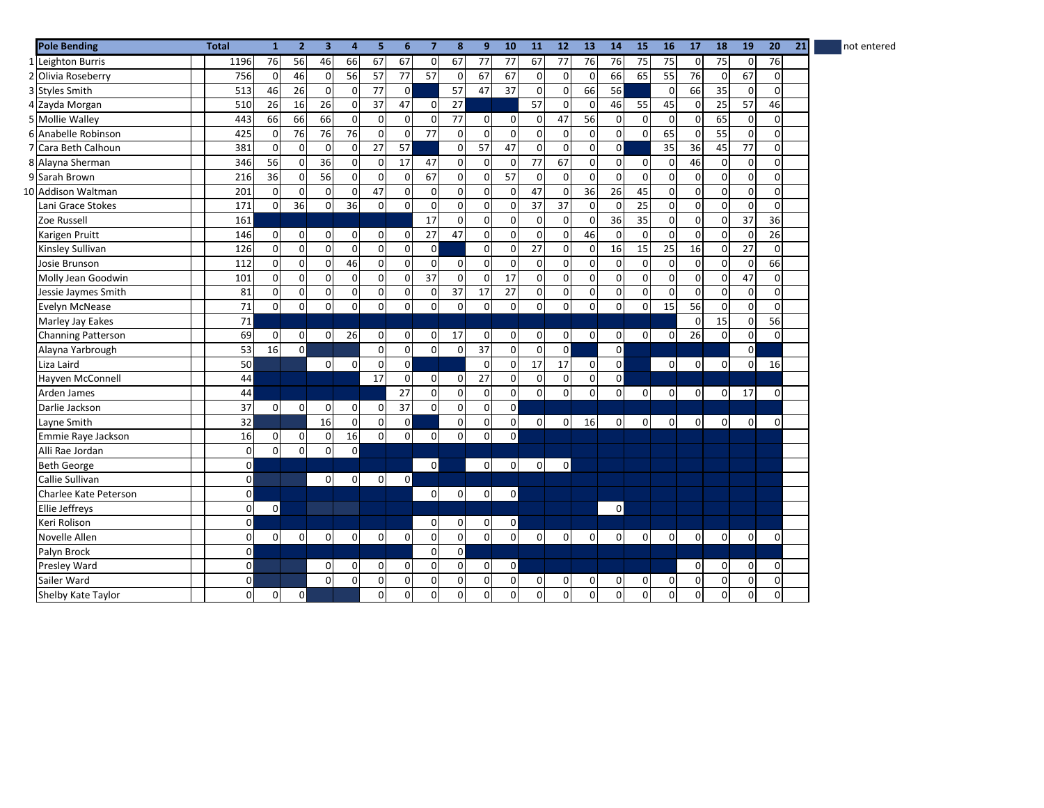| <b>Pole Bending</b>   | <b>Total</b>        | $\mathbf{1}$ | $\overline{2}$ | $\overline{\mathbf{3}}$ | 4              | 5               | 6              | $\overline{7}$ | 8               | 9              | 10             | 11           | 12             | 13          | 14             | 15              | 16              | 17              | 18             | 19             | 20             | 21<br>not entered |
|-----------------------|---------------------|--------------|----------------|-------------------------|----------------|-----------------|----------------|----------------|-----------------|----------------|----------------|--------------|----------------|-------------|----------------|-----------------|-----------------|-----------------|----------------|----------------|----------------|-------------------|
| 1 Leighton Burris     | 1196                | 76           | 56             | 46                      | 66             | 67              | 67             | $\overline{0}$ | 67              | 77             | 77             | 67           | 77             | 76          | 76             | 75              | 75              | $\mathbf 0$     | 75             | $\mathbf 0$    | 76             |                   |
| 2 Olivia Roseberry    | 756                 | $\mathbf 0$  | 46             | $\mathbf 0$             | 56             | 57              | 77             | 57             | $\overline{0}$  | 67             | 67             | 0            | $\Omega$       | $\mathbf 0$ | 66             | 65              | 55              | $\overline{76}$ | $\overline{0}$ | 67             | $\Omega$       |                   |
| 3 Styles Smith        | 513                 | 46           | 26             | $\mathbf 0$             | $\mathbf 0$    | 77              | $\overline{0}$ |                | 57              | 47             | 37             | $\pmb{0}$    | $\mathbf 0$    | 66          | 56             |                 | $\overline{0}$  | 66              | 35             | $\overline{0}$ | $\mathbf 0$    |                   |
| 4 Zayda Morgan        | 510                 | 26           | 16             | 26                      | $\mathbf 0$    | 37              | 47             | $\mathbf{0}$   | $\overline{27}$ |                |                | 57           | $\Omega$       | $\mathbf 0$ | 46             | 55              | 45              | $\mathbf 0$     | 25             | 57             | 46             |                   |
| 5 Mollie Walley       | 443                 | 66           | 66             | 66                      | $\mathbf 0$    | 0               | $\Omega$       | $\mathbf 0$    | 77              | 0              | $\mathbf 0$    | $\mathbf 0$  | 47             | 56          | $\Omega$       | 0               | $\mathbf 0$     | $\mathbf 0$     | 65             | $\mathbf 0$    | $\overline{0}$ |                   |
| 6 Anabelle Robinson   | 425                 | $\mathbf 0$  | 76             | 76                      | 76             | 0               | $\mathbf 0$    | 77             | $\mathbf 0$     | $\mathbf 0$    | $\Omega$       | 0            | $\mathbf 0$    | $\mathbf 0$ | $\Omega$       | $\mathbf 0$     | 65              | $\mathbf 0$     | 55             | $\overline{0}$ | $\mathbf 0$    |                   |
| 7 Cara Beth Calhoun   | 381                 | $\mathbf 0$  | $\Omega$       | $\Omega$                | $\mathbf{0}$   | $\overline{27}$ | 57             |                | $\mathbf{0}$    | 57             | 47             | $\pmb{0}$    | $\Omega$       | $\mathbf 0$ | $\Omega$       |                 | $\overline{35}$ | $\overline{36}$ | 45             | 77             | $\Omega$       |                   |
| 8 Alayna Sherman      | 346                 | 56           | $\mathbf 0$    | 36                      | $\mathbf 0$    | 0               | 17             | 47             | $\overline{0}$  | 0              | $\mathbf 0$    | 77           | 67             | $\pmb{0}$   | $\overline{0}$ | $\mathbf 0$     | $\overline{0}$  | 46              | $\overline{0}$ | $\overline{0}$ | $\mathbf 0$    |                   |
| 9 Sarah Brown         | 216                 | 36           | $\mathbf 0$    | 56                      | $\overline{0}$ | 0               | $\Omega$       | 67             | $\overline{0}$  | 0              | 57             | 0            | $\mathbf 0$    | $\mathbf 0$ | $\Omega$       | $\mathbf 0$     | $\mathbf 0$     | $\mathbf 0$     | $\overline{0}$ | $\overline{0}$ | $\mathbf 0$    |                   |
| 10 Addison Waltman    | 201                 | $\mathbf 0$  | $\mathbf 0$    | $\overline{0}$          | $\overline{0}$ | 47              | $\Omega$       | $\mathbf 0$    | $\mathbf 0$     | 0              | $\Omega$       | 47           | $\mathbf 0$    | 36          | 26             | 45              | $\mathbf 0$     | 0               | $\overline{0}$ | $\overline{0}$ | $\mathbf 0$    |                   |
| Lani Grace Stokes     | 171                 | $\mathbf 0$  | 36             | $\mathbf 0$             | 36             | 0               | $\Omega$       | $\mathbf 0$    | $\mathbf 0$     | 0              | $\Omega$       | 37           | 37             | $\mathbf 0$ | $\Omega$       | 25              | $\mathbf 0$     | 0               | $\Omega$       | $\overline{0}$ | $\mathbf 0$    |                   |
| Zoe Russell           | 161                 |              |                |                         |                |                 |                | 17             | $\mathbf 0$     | 0              | $\Omega$       | 0            | $\Omega$       | $\mathbf 0$ | 36             | 35              | $\mathbf 0$     | $\mathbf 0$     | $\Omega$       | 37             | 36             |                   |
| Karigen Pruitt        | 146                 | $\mathbf 0$  | $\mathbf 0$    | $\overline{0}$          | $\mathbf 0$    | $\mathbf 0$     | $\Omega$       | 27             | 47              | 0              | $\Omega$       | 0            | $\mathbf 0$    | 46          | $\Omega$       | $\pmb{0}$       | $\overline{0}$  | $\mathbf 0$     | $\Omega$       | 0              | 26             |                   |
| Kinsley Sullivan      | 126                 | $\mathbf 0$  | $\mathbf 0$    | $\overline{0}$          | $\mathbf 0$    | $\mathbf 0$     | $\mathbf 0$    | $\mathbf 0$    |                 | 0              | $\overline{0}$ | 27           | $\mathbf 0$    | $\mathbf 0$ | 16             | $\overline{15}$ | $\overline{25}$ | $\overline{16}$ | $\overline{0}$ | 27             | $\mathbf 0$    |                   |
| Josie Brunson         | 112                 | $\mathbf 0$  | $\mathbf 0$    | $\mathbf{0}$            | 46             | 0               | $\mathbf 0$    | $\mathbf 0$    | $\mathbf{0}$    | 0              | $\mathbf 0$    | 0            | $\mathbf 0$    | $\pmb{0}$   | $\Omega$       | $\mathbf 0$     | $\mathbf 0$     | $\mathbf 0$     | $\overline{0}$ | $\overline{0}$ | 66             |                   |
| Molly Jean Goodwin    | 101                 | $\mathbf 0$  | $\mathbf 0$    | $\mathbf 0$             | $\mathbf 0$    | 0               | $\mathbf 0$    | 37             | $\mathbf 0$     | $\mathbf 0$    | 17             | 0            | $\mathbf 0$    | $\pmb{0}$   | $\Omega$       | 0               | $\mathbf 0$     | $\mathbf 0$     | $\overline{0}$ | 47             | $\mathbf 0$    |                   |
| Jessie Jaymes Smith   | 81                  | $\mathbf 0$  | $\Omega$       | $\Omega$                | $\Omega$       | 0               | $\Omega$       | $\overline{0}$ | 37              | 17             | 27             | $\mathbf 0$  | $\Omega$       | $\mathbf 0$ | $\Omega$       | $\mathbf 0$     | $\Omega$        | $\Omega$        | $\Omega$       | $\mathbf 0$    | $\Omega$       |                   |
| Evelyn McNease        | 71                  | $\mathbf 0$  | $\mathbf 0$    | $\overline{0}$          | $\mathbf 0$    | $\mathbf 0$     | $\mathbf 0$    | $\overline{0}$ | $\mathbf 0$     | 0              | $\overline{0}$ | $\mathbf 0$  | $\mathbf 0$    | $\pmb{0}$   | $\Omega$       | $\mathbf{0}$    | 15              | 56              | $\overline{0}$ | $\overline{0}$ | $\Omega$       |                   |
| Marley Jay Eakes      | 71                  |              |                |                         |                |                 |                |                |                 |                |                |              |                |             |                |                 |                 | $\mathbf 0$     | 15             | $\overline{0}$ | 56             |                   |
| Channing Patterson    | 69                  | $\mathbf 0$  | 0              | $\mathbf{0}$            | 26             | $\mathbf 0$     | $\Omega$       | $\overline{0}$ | 17              | 0              | $\overline{0}$ | 0            | $\overline{0}$ | $\pmb{0}$   | $\Omega$       | $\overline{0}$  | $\mathbf{0}$    | 26              | $\Omega$       | $\overline{0}$ | $\Omega$       |                   |
| Alayna Yarbrough      | 53                  | 16           | $\mathbf 0$    |                         |                | 0               | $\mathbf 0$    | $\mathsf{o}$   | $\mathbf 0$     | 37             | $\Omega$       | 0            | $\mathbf 0$    |             | $\mathbf{0}$   |                 |                 |                 |                | $\mathbf 0$    |                |                   |
| Liza Laird            | 50                  |              |                | $\mathbf 0$             | 0              | 0               | $\Omega$       |                |                 | $\Omega$       | $\Omega$       | 17           | 17             | $\mathbf 0$ | $\mathsf{o}$   |                 | $\mathbf{0}$    | 0               | $\Omega$       | $\overline{0}$ | 16             |                   |
| Hayven McConnell      | $44\,$              |              |                |                         |                | 17              | $\mathbf 0$    | $\mathbf{0}$   | $\mathbf 0$     | 27             | $\Omega$       | 0            | $\mathbf 0$    | 0           | $\mathsf{o}$   |                 |                 |                 |                |                |                |                   |
| Arden James           | 44                  |              |                |                         |                |                 | 27             | $\mathbf 0$    | $\mathbf 0$     | 0              | $\Omega$       | $\mathbf 0$  | $\mathbf 0$    | $\mathbf 0$ | $\Omega$       | $\mathbf 0$     | $\mathbf{0}$    | $\mathbf 0$     | $\overline{0}$ | 17             | $\mathbf 0$    |                   |
| Darlie Jackson        | 37                  | $\Omega$     | $\Omega$       | $\Omega$                | 0              | 0               | 37             | $\Omega$       | $\overline{0}$  | 0              | $\Omega$       |              |                |             |                |                 |                 |                 |                |                |                |                   |
| Layne Smith           | 32                  |              |                | 16                      | $\mathbf 0$    | 0               | $\mathbf 0$    |                | $\mathbf 0$     | 0              | $\overline{0}$ | $\mathbf 0$  | $\overline{0}$ | 16          | $\overline{0}$ | $\mathsf 0$     | $\mathbf 0$     | $\mathbf 0$     | $\overline{0}$ | $\mathbf{0}$   | $\mathbf 0$    |                   |
| Emmie Raye Jackson    | 16                  | $\mathbf 0$  | $\mathbf 0$    | $\overline{0}$          | 16             | 0               | $\mathbf 0$    | $\overline{0}$ | $\Omega$        | 0              | $\mathsf{o}$   |              |                |             |                |                 |                 |                 |                |                |                |                   |
| Alli Rae Jordan       | $\pmb{0}$           | $\Omega$     | $\mathbf 0$    | $\mathbf 0$             | $\mathbf 0$    |                 |                |                |                 |                |                |              |                |             |                |                 |                 |                 |                |                |                |                   |
| <b>Beth George</b>    | $\mathsf{O}\xspace$ |              |                |                         |                |                 |                | $\mathbf 0$    |                 | $\mathbf 0$    | $\overline{0}$ | $\mathsf{o}$ | $\overline{0}$ |             |                |                 |                 |                 |                |                |                |                   |
| Callie Sullivan       | $\pmb{0}$           |              |                | $\overline{0}$          | $\mathbf 0$    | $\overline{0}$  | $\overline{0}$ |                |                 |                |                |              |                |             |                |                 |                 |                 |                |                |                |                   |
| Charlee Kate Peterson | $\pmb{0}$           |              |                |                         |                |                 |                | $\overline{0}$ | $\overline{0}$  | 0              | $\mathbf{0}$   |              |                |             |                |                 |                 |                 |                |                |                |                   |
| Ellie Jeffreys        | 0                   | $\mathbf 0$  |                |                         |                |                 |                |                |                 |                |                |              |                |             | $\mathbf{0}$   |                 |                 |                 |                |                |                |                   |
| Keri Rolison          | $\mathsf{O}\xspace$ |              |                |                         |                |                 |                | 0              | 0               | 0              | $\overline{0}$ |              |                |             |                |                 |                 |                 |                |                |                |                   |
| Novelle Allen         | $\pmb{0}$           | $\mathbf 0$  | $\mathbf 0$    | $\overline{0}$          | $\mathbf 0$    | $\mathbf 0$     | $\mathbf 0$    | $\overline{0}$ | $\overline{0}$  | $\overline{0}$ | $\overline{0}$ | $\mathbf 0$  | $\overline{0}$ | $\pmb{0}$   | $\overline{0}$ | $\mathbf 0$     | $\overline{0}$  | $\mathbf 0$     | $\overline{0}$ | $\overline{0}$ | $\mathbf 0$    |                   |
| Palyn Brock           | $\mathsf{O}\xspace$ |              |                |                         |                |                 |                | $\overline{0}$ | $\mathbf 0$     |                |                |              |                |             |                |                 |                 |                 |                |                |                |                   |
| Presley Ward          | $\pmb{0}$           |              |                | $\overline{0}$          | $\mathbf 0$    | $\mathbf 0$     | $\mathbf 0$    | $\mathsf{o}$   | $\mathbf 0$     | 0              | $\mathbf{0}$   |              |                |             |                |                 |                 | $\mathbf 0$     | $\overline{0}$ | $\mathbf 0$    | $\mathbf 0$    |                   |
| Sailer Ward           | $\pmb{0}$           |              |                | $\Omega$                | $\Omega$       | 0               | $\Omega$       | $\overline{0}$ | $\mathbf 0$     | 0              | $\mathbf{0}$   | $\mathbf{0}$ | $\overline{0}$ | 0           | 0              | 0               | $\mathbf 0$     | $\mathbf 0$     | $\overline{0}$ | $\mathbf 0$    | $\mathbf 0$    |                   |
| Shelby Kate Taylor    | 0                   | $\mathbf 0$  | $\mathbf 0$    |                         |                | 0               | $\mathbf 0$    | $\mathbf 0$    | $\mathbf 0$     | 0              | 0              | 0            | $\overline{0}$ | $\mathbf 0$ | $\Omega$       | $\mathbf 0$     | $\Omega$        | $\mathbf 0$     | $\overline{0}$ | $\mathbf 0$    | $\mathbf 0$    |                   |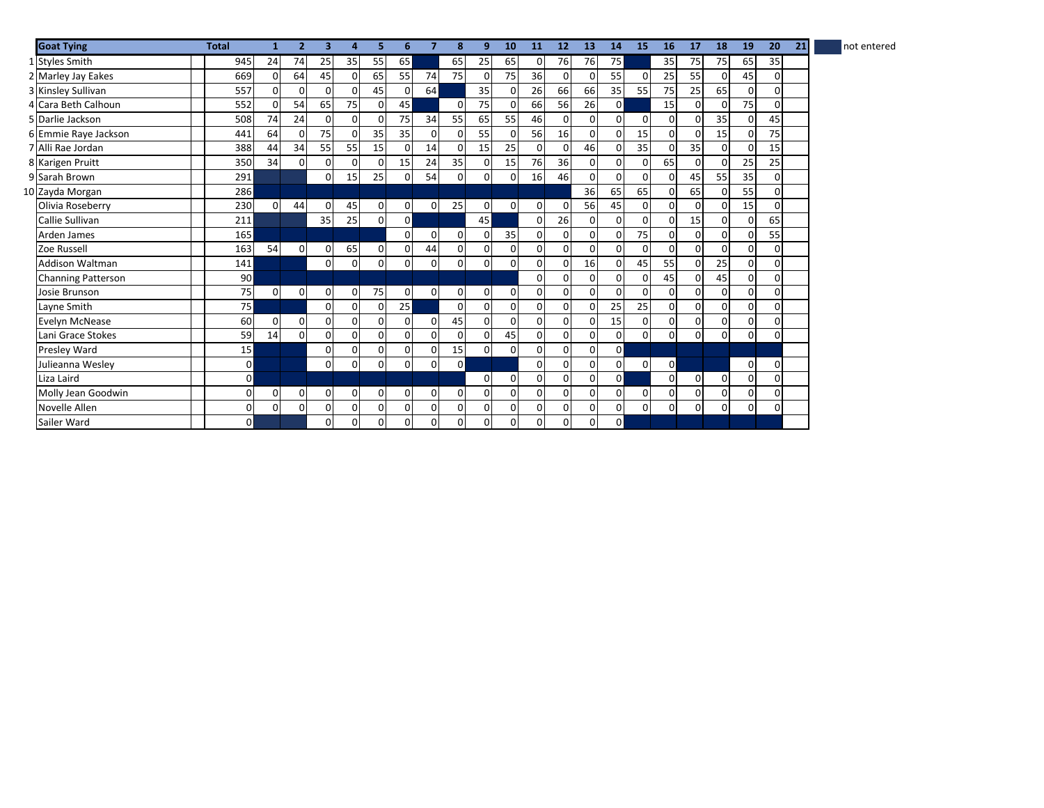| <b>Goat Tying</b>         | <b>Total</b>   | 1              | $\overline{2}$ | 3              | 4               | 5        | 6            | 7              | 8              | 9           | 10       | 11             | 12             | 13             | 14             | 15             | 16             | 17          | 18       | 19             | 20          | 21 | not entered |
|---------------------------|----------------|----------------|----------------|----------------|-----------------|----------|--------------|----------------|----------------|-------------|----------|----------------|----------------|----------------|----------------|----------------|----------------|-------------|----------|----------------|-------------|----|-------------|
| 1 Styles Smith            | 945            | 24             | 74             | 25             | 35              | 55       | 65           |                | 65             | 25          | 65       | $\overline{0}$ | 76             | 76             | 75             |                | 35             | 75          | 75       | 65             | 35          |    |             |
| 2 Marley Jay Eakes        | 669            | $\overline{0}$ | 64             | 45             | $\overline{0}$  | 65       | 55           | 74             | 75             | $\mathbf 0$ | 75       | 36             | $\Omega$       | $\Omega$       | 55             | $\overline{0}$ | 25             | 55          | 0        | 45             | $\Omega$    |    |             |
| 3 Kinsley Sullivan        | 557            | $\Omega$       | 0              | $\mathbf{0}$   | $\Omega$        | 45       |              | 64             |                | 35          |          | 26             | 66             | 66             | 35             | 55             | 75             | 25          | 65       | $\mathbf 0$    | $\Omega$    |    |             |
| 4 Cara Beth Calhoun       | 552            | $\Omega$       | 54             | 65             | 75              | $\Omega$ | 45           |                | $\Omega$       | 75          |          | 66             | 56             | 26             | $\Omega$       |                | 15             | $\Omega$    |          | 75             | $\Omega$    |    |             |
| 5 Darlie Jackson          | 508            | 74             | 24             | $\mathsf{o}$   | $\overline{0}$  | $\Omega$ | 75           | 34             | 55             | 65          | 55       | 46             | $\Omega$       | $\overline{0}$ | $\Omega$       | $\Omega$       | $\overline{0}$ | $\Omega$    | 35       | $\mathbf 0$    | 45          |    |             |
| 6 Emmie Raye Jackson      | 441            | 64             | $\Omega$       | 75             | $\overline{0}$  | 35       | 35           | 0              | $\Omega$       | 55          |          | 56             | 16             | $\overline{0}$ | $\Omega$       | 15             | $\overline{0}$ | $\mathbf 0$ | 15       | $\mathbf 0$    | 75          |    |             |
| 7 Alli Rae Jordan         | 388            | 44             | 34             | 55             | 55              | 15       |              | 14             | 0              | 15          | 25       | $\Omega$       | $\Omega$       | 46             |                | 35             | $\Omega$       | 35          | 0        | $\Omega$       | 15          |    |             |
| 8 Karigen Pruitt          | 350            | 34             | $\Omega$       | <sub>0</sub>   | $\Omega$        | 0        | 15           | 24             | 35             | $\Omega$    | 15       | 76             | 36             | $\Omega$       | $\Omega$       | $\overline{0}$ | 65             | $\mathbf 0$ | $\Omega$ | 25             | 25          |    |             |
| 9 Sarah Brown             | 291            |                |                | $\overline{0}$ | 15 <sup>1</sup> | 25       |              | 54             | $\Omega$       | 0           |          | 16             | 46             | $\overline{0}$ | $\Omega$       | $\Omega$       | 0              | 45          | 55       | 35             | $\Omega$    |    |             |
| 10 Zayda Morgan           | 286            |                |                |                |                 |          |              |                |                |             |          |                |                | 36             | 65             | 65             | $\overline{0}$ | 65          | 0        | 55             | $\Omega$    |    |             |
| Olivia Roseberry          | 230            | $\overline{0}$ | 44             | 0              | 45              | 0        | 0            | $\overline{0}$ | 25             | 0           | 0        | $\overline{0}$ | 0              | 56             | 45             | $\mathbf{0}$   | $\overline{0}$ | 0           | 0        | 15             | $\Omega$    |    |             |
| Callie Sullivan           | 211            |                |                | 35             | 25              | $\Omega$ | $\mathbf{0}$ |                |                | 45          |          | $\overline{0}$ | 26             | $\Omega$       | $\Omega$       | $\Omega$       | 0              | 15          | $\Omega$ | $\overline{0}$ | 65          |    |             |
| Arden James               | 165            |                |                |                |                 |          | $\Omega$     | 0              | $\overline{0}$ | 0           | 35       | $\mathbf{0}$   | $\Omega$       | $\overline{0}$ | $\Omega$       | 75             | $\overline{0}$ | 0           | $\Omega$ | $\mathbf 0$    | 55          |    |             |
| Zoe Russell               | 163            | 54             | $\Omega$       | 0              | 65              | 0        | $\Omega$     | 44             | $\overline{0}$ | 0           | $\Omega$ | $\mathbf{0}$   | $\Omega$       | $\overline{0}$ | $\Omega$       | $\mathbf{0}$   | $\overline{0}$ | $\Omega$    | $\Omega$ | $\mathbf 0$    | $\Omega$    |    |             |
| <b>Addison Waltman</b>    | 141            |                |                | $\mathsf{o}$   | $\overline{0}$  | 0        | 0            | 0              | 0              | 0           |          | $\Omega$       | $\Omega$       | 16             | $\Omega$       | 45             | 55             | $\Omega$    | 25       | $\mathbf 0$    | 0           |    |             |
| <b>Channing Patterson</b> | 90             |                |                |                |                 |          |              |                |                |             |          | $\Omega$       | $\Omega$       | $\Omega$       | $\Omega$       | $\Omega$       | 45             | $\Omega$    | 45       | $\mathbf 0$    | $\Omega$    |    |             |
| Josie Brunson             | 75             | $\overline{0}$ | $\overline{0}$ | 0              | $\mathbf{0}$    | 75       | $\Omega$     | $\mathbf{0}$   | $\overline{0}$ | 0           | 0        | $\mathbf{0}$   | $\Omega$       | $\overline{0}$ | $\Omega$       | $\Omega$       | $\overline{0}$ | $\mathbf 0$ | $\Omega$ | $\mathbf 0$    | $\Omega$    |    |             |
| Layne Smith               | 75             |                |                | $\mathsf{o}$   | $\overline{0}$  | 0        | 25           |                | $\Omega$       | 0           |          | $\overline{0}$ | $\Omega$       | $\Omega$       | 25             | 25             | $\overline{0}$ | $\mathbf 0$ | $\Omega$ | $\mathbf 0$    | $\mathbf 0$ |    |             |
| Evelyn McNease            | 60             | $\overline{0}$ | $\Omega$       | $\mathbf{0}$   | $\mathbf{0}$    | $\Omega$ |              | $\Omega$       | 45             | $\Omega$    |          | $\mathbf{0}$   | $\Omega$       | $\Omega$       | 15             | $\mathbf{0}$   | $\overline{0}$ | $\mathbf 0$ | 0        | $\mathbf 0$    | $\Omega$    |    |             |
| Lani Grace Stokes         | 59             | 14             | $\Omega$       | οl             | $\overline{0}$  | $\Omega$ | 0            | 0              | $\Omega$       | $\Omega$    | 45       | $\overline{0}$ | $\Omega$       | $\Omega$       | $\Omega$       | $\mathbf{0}$   | $\overline{0}$ | $\mathbf 0$ | $\Omega$ | $\mathbf 0$    | $\Omega$    |    |             |
| Presley Ward              | 15             |                |                | $\mathsf{o}$   | $\overline{0}$  | 0        | $\Omega$     | $\Omega$       | 15             | $\Omega$    | $\Omega$ | $\mathbf 0$    | $\Omega$       | $\overline{0}$ | $\Omega$       |                |                |             |          |                |             |    |             |
| Julieanna Wesley          | $\overline{0}$ |                |                | $\overline{0}$ | $\overline{0}$  | 0        | 0            | $\Omega$       | $\Omega$       |             |          | $\mathbf{0}$   | $\mathbf 0$    | $\overline{0}$ | $\overline{0}$ | $\mathbf{0}$   | $\overline{0}$ |             |          | $\mathbf 0$    | 0           |    |             |
| Liza Laird                | $\Omega$       |                |                |                |                 |          |              |                |                | $\Omega$    |          | $\Omega$       | $\Omega$       | $\Omega$       | $\Omega$       |                | $\Omega$       | $\mathbf 0$ | $\Omega$ | $\mathbf 0$    | 0           |    |             |
| Molly Jean Goodwin        | $\overline{0}$ | 0              | $\Omega$       | 0              | $\overline{0}$  | 0        | $\Omega$     | 0              | $\Omega$       | 0           |          | $\Omega$       | $\Omega$       | $\Omega$       | $\Omega$       | $\mathbf{0}$   | $\overline{0}$ | $\Omega$    | 0        | 0              | $\Omega$    |    |             |
| Novelle Allen             | $\overline{0}$ | 0              | $\Omega$       | 0              | $\overline{0}$  | 0        | $\Omega$     | 0              | $\Omega$       | 0           |          | $\Omega$       | $\Omega$       | $\overline{0}$ | $\Omega$       | $\Omega$       | $\Omega$       | $\Omega$    | $\Omega$ | $\overline{0}$ | $\Omega$    |    |             |
| Sailer Ward               | οI             |                |                | $\mathsf{o}$   | $\overline{0}$  | 0        | 0            | 0              | $\Omega$       | 0           | 0        | 0              | $\overline{0}$ | $\overline{0}$ | $\mathsf{o}$   |                |                |             |          |                |             |    |             |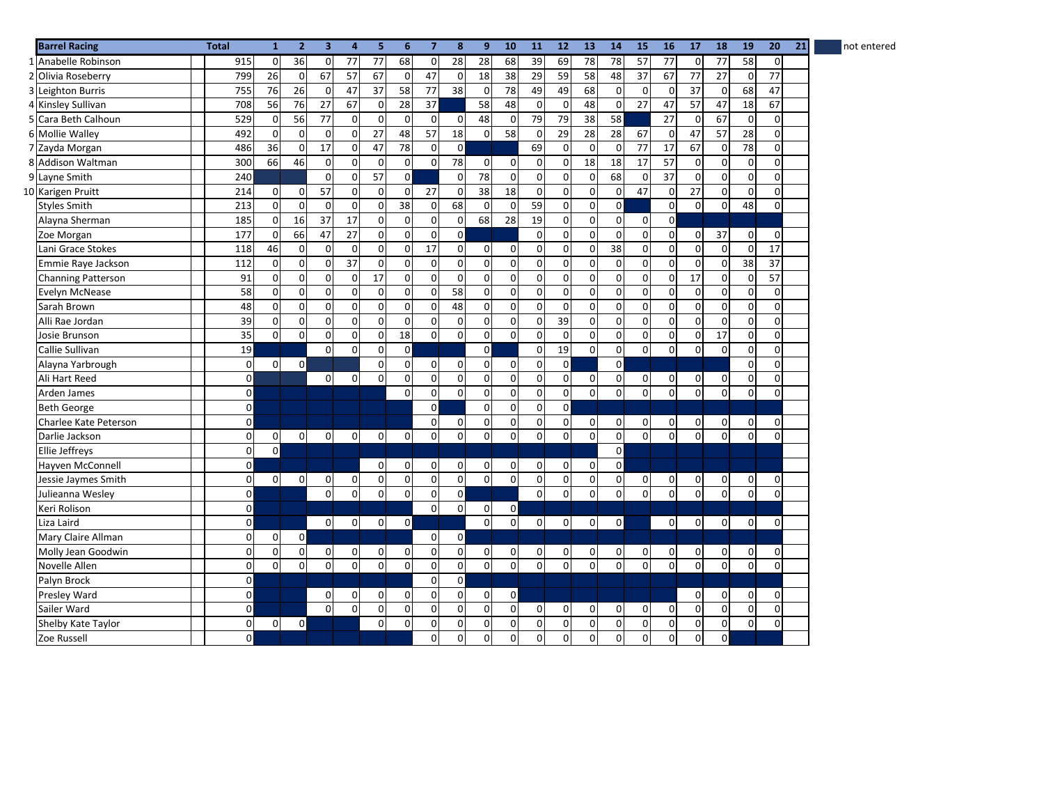| <b>Barrel Racing</b>      | <b>Total</b>            | $\mathbf{1}$    | $\overline{2}$  | $\overline{\mathbf{3}}$ | 4               | 5           | 6              | $\overline{7}$      | 8                       | 9                   | 10             | 11                  | 12             | 13              | 14              | 15                      | 16              | 17              | 18              | 19              | 21<br>20       | not entered |
|---------------------------|-------------------------|-----------------|-----------------|-------------------------|-----------------|-------------|----------------|---------------------|-------------------------|---------------------|----------------|---------------------|----------------|-----------------|-----------------|-------------------------|-----------------|-----------------|-----------------|-----------------|----------------|-------------|
| 1 Anabelle Robinson       | 915                     | $\mathbf 0$     | 36              | $\mathbf{0}$            | 77              | 77          | 68             | $\overline{0}$      | 28                      | $\overline{28}$     | 68             | 39                  | 69             | 78              | $\overline{78}$ | $\overline{57}$         | 77              | $\mathbf 0$     | $\overline{77}$ | 58              | $\overline{0}$ |             |
| 2 Olivia Roseberry        | 799                     | 26              | $\mathbf 0$     | 67                      | 57              | 67          | $\mathbf 0$    | 47                  | $\overline{\mathbf{0}}$ | 18                  | 38             | 29                  | 59             | 58              | 48              | $\overline{37}$         | 67              | 77              | $\overline{27}$ | $\mathbf 0$     | 77             |             |
| 3 Leighton Burris         | 755                     | 76              | $\overline{26}$ | $\overline{0}$          | 47              | 37          | 58             | 77                  | $\overline{38}$         | $\pmb{0}$           | 78             | 49                  | 49             | 68              | 0               | $\overline{0}$          | $\mathbf 0$     | $\overline{37}$ | $\overline{0}$  | 68              | 47             |             |
| 4 Kinsley Sullivan        | 708                     | 56              | 76              | 27                      | 67              | $\mathbf 0$ | 28             | 37                  |                         | 58                  | 48             | 0                   | $\mathbf 0$    | 48              | $\Omega$        | 27                      | 47              | 57              | 47              | 18              | 67             |             |
| 5 Cara Beth Calhoun       | 529                     | $\mathbf 0$     | 56              | 77                      | $\mathbf 0$     | $\mathbf 0$ | $\Omega$       | $\mathbf 0$         | $\mathbf 0$             | 48                  | $\mathbf 0$    | 79                  | 79             | 38              | 58              |                         | 27              | $\mathbf 0$     | 67              | $\mathbf 0$     | $\mathbf 0$    |             |
| 6 Mollie Walley           | 492                     | $\mathbf 0$     | $\mathbf 0$     | $\mathbf 0$             | $\mathbf 0$     | 27          | 48             | 57                  | 18                      | $\mathbf 0$         | 58             | $\mathsf 0$         | 29             | $\overline{28}$ | $\overline{28}$ | 67                      | $\mathbf 0$     | 47              | 57              | 28              | $\mathbf 0$    |             |
| 7 Zayda Morgan            | 486                     | $\overline{36}$ | $\mathbf 0$     | 17                      | $\mathbf 0$     | 47          | 78             | $\mathbf 0$         | $\mathbf 0$             |                     |                | 69                  | $\mathbf 0$    | $\mathbf 0$     | $\Omega$        | $\overline{77}$         | $\overline{17}$ | 67              | $\overline{0}$  | $\overline{78}$ | $\mathbf 0$    |             |
| 8 Addison Waltman         | 300                     | 66              | 46              | $\mathbf 0$             | $\Omega$        | $\Omega$    | $\Omega$       | $\mathbf{0}$        | 78                      | $\mathbf 0$         | $\Omega$       | 0                   | $\mathbf 0$    | 18              | 18              | 17                      | 57              | 0               | $\overline{0}$  | $\overline{0}$  | $\Omega$       |             |
| 9 Layne Smith             | 240                     |                 |                 | $\Omega$                | $\overline{0}$  | 57          | $\Omega$       |                     | $\overline{0}$          | 78                  | $\Omega$       | 0                   | $\overline{0}$ | $\mathbf 0$     | 68              | 0                       | 37              | $\mathbf 0$     | $\overline{0}$  | 0               | $\overline{0}$ |             |
| 10 Karigen Pruitt         | 214                     | $\mathbf 0$     | $\mathbf 0$     | 57                      | $\mathbf 0$     | 0           | $\mathbf 0$    | 27                  | $\overline{0}$          | $\overline{38}$     | 18             | 0                   | $\mathbf 0$    | $\mathbf 0$     | $\Omega$        | 47                      | $\overline{0}$  | 27              | $\overline{0}$  | $\mathbf{0}$    | $\Omega$       |             |
| <b>Styles Smith</b>       | 213                     | $\mathbf 0$     | $\mathbf 0$     | $\mathbf 0$             | $\mathbf 0$     | 0           | 38             | 0                   | 68                      | $\mathbf 0$         | $\Omega$       | 59                  | $\mathbf 0$    | $\mathbf 0$     | $\mathsf{o}$    |                         | $\overline{0}$  | $\mathbf 0$     | $\overline{0}$  | 48              | $\mathbf{0}$   |             |
| Alayna Sherman            | 185                     | $\mathbf 0$     | 16              | 37                      | 17              | 0           | $\Omega$       | $\overline{0}$      | $\overline{0}$          | 68                  | 28             | 19                  | $\Omega$       | $\mathbf 0$     | $\Omega$        | $\pmb{0}$               | $\Omega$        |                 |                 |                 |                |             |
| Zoe Morgan                | 177                     | $\mathbf 0$     | 66              | 47                      | 27              | 0           | $\Omega$       | $\overline{0}$      | $\mathsf{O}$            |                     |                | 0                   | $\mathbf 0$    | $\mathbf 0$     | $\Omega$        | 0                       | $\mathbf 0$     | $\mathbf 0$     | 37              | $\mathbf 0$     | $\mathbf 0$    |             |
| Lani Grace Stokes         | 118                     | 46              | $\mathbf 0$     | $\mathbf 0$             | $\pmb{0}$       | $\pmb{0}$   | $\mathbf 0$    | $\overline{17}$     | $\pmb{0}$               | $\mathsf{O}\xspace$ | $\Omega$       | 0                   | $\mathbf 0$    | $\pmb{0}$       | 38              | 0                       | $\overline{0}$  | $\pmb{0}$       | $\Omega$        | $\overline{0}$  | 17             |             |
| Emmie Raye Jackson        | 112                     | $\mathbf 0$     | $\mathbf 0$     | $\mathbf 0$             | $\overline{37}$ | 0           | $\mathbf 0$    | $\mathbf 0$         | $\mathsf{O}$            | $\mathbf 0$         | $\mathbf 0$    | $\mathbf 0$         | $\mathbf 0$    | $\pmb{0}$       | $\mathbf 0$     | $\overline{\mathbf{0}}$ | $\mathbf 0$     | $\mathbf 0$     | $\overline{0}$  | $\overline{38}$ | 37             |             |
| <b>Channing Patterson</b> | 91                      | $\mathbf 0$     | $\mathbf 0$     | $\Omega$                | $\mathbf 0$     | 17          | $\Omega$       | $\overline{0}$      | $\Omega$                | $\mathbf 0$         | $\Omega$       | $\mathbf 0$         | $\Omega$       | $\mathbf 0$     | $\Omega$        | $\overline{0}$          | $\overline{0}$  | 17              | $\Omega$        | $\mathbf{0}$    | 57             |             |
| Evelyn McNease            | 58                      | $\mathbf 0$     | $\mathbf 0$     | $\mathbf{0}$            | $\mathbf 0$     | $\mathbf 0$ | $\mathbf 0$    | $\mathbf{0}$        | 58                      | 0                   | $\Omega$       | 0                   | $\mathbf 0$    | $\mathbf 0$     | $\overline{0}$  | $\overline{0}$          | $\mathbf 0$     | $\mathbf 0$     | $\overline{0}$  | $\overline{0}$  | $\mathbf 0$    |             |
| Sarah Brown               | 48                      | $\mathbf 0$     | $\mathbf 0$     | $\overline{0}$          | $\mathbf 0$     | $\mathbf 0$ | $\mathbf 0$    | $\mathsf{o}$        | 48                      | $\mathbf 0$         | $\Omega$       | $\mathbf 0$         | $\mathbf 0$    | $\mathbf 0$     | $\Omega$        | $\overline{\mathbf{0}}$ | $\overline{0}$  | $\mathbf 0$     | $\overline{0}$  | $\overline{0}$  | $\mathbf 0$    |             |
| Alli Rae Jordan           | $\overline{39}$         | $\mathbf 0$     | $\mathbf 0$     | $\mathbf 0$             | $\mathbf 0$     | 0           | $\mathbf 0$    | $\mathsf{o}$        | $\mathbf 0$             | 0                   | $\overline{0}$ | 0                   | 39             | $\pmb{0}$       | $\overline{0}$  | $\overline{\mathbf{0}}$ | $\overline{0}$  | 0               | $\overline{0}$  | $\overline{0}$  | $\mathbf 0$    |             |
| Josie Brunson             | 35                      | $\Omega$        | $\Omega$        | $\Omega$                | $\Omega$        | 0           | 18             | 0                   | $\Omega$                | 0                   | $\Omega$       | $\mathbf{0}$        | $\Omega$       | $\Omega$        | $\Omega$        | $\mathbf 0$             | $\Omega$        | $\Omega$        | 17              | $\Omega$        | $\Omega$       |             |
| Callie Sullivan           | 19                      |                 |                 | $\overline{0}$          | $\Omega$        | 0           | $\overline{0}$ |                     |                         | 0                   |                | 0                   | 19             | $\Omega$        | $\Omega$        | $\mathbf{0}$            | $\Omega$        | 0               | $\overline{0}$  | $\overline{0}$  | $\Omega$       |             |
| Alayna Yarbrough          | 0                       | $\mathbf 0$     | 0               |                         |                 | $\mathbf 0$ | $\mathbf 0$    | $\overline{0}$      | $\mathbf 0$             | 0                   | $\Omega$       | 0                   | $\mathbf 0$    |                 | $\Omega$        |                         |                 |                 |                 | 0               | $\mathbf 0$    |             |
| Ali Hart Reed             | $\mathbf 0$             |                 |                 | $\overline{0}$          | $\mathbf 0$     | 0           | $\mathbf 0$    | $\overline{0}$      | $\mathbf 0$             | 0                   | $\Omega$       | $\mathsf{O}\xspace$ | $\overline{0}$ | $\pmb{0}$       | $\overline{0}$  | $\mathbf{0}$            | $\mathbf{0}$    | $\mathbf 0$     | $\overline{0}$  | $\overline{0}$  | $\mathbf 0$    |             |
| Arden James               | $\mathbf 0$             |                 |                 |                         |                 |             | $\Omega$       | $\mathsf{o}$        | $\Omega$                | 0                   | $\Omega$       | $\mathbf 0$         | $\mathbf 0$    | $\mathbf 0$     | $\Omega$        | $\mathbf 0$             | $\mathbf{0}$    | $\Omega$        | $\Omega$        | $\mathbf 0$     | $\Omega$       |             |
| <b>Beth George</b>        | $\mathsf{O}\xspace$     |                 |                 |                         |                 |             |                | $\Omega$            |                         | $\Omega$            | $\Omega$       | 0                   | $\Omega$       |                 |                 |                         |                 |                 |                 |                 |                |             |
| Charlee Kate Peterson     | $\mathsf{O}\xspace$     |                 |                 |                         |                 |             |                | 0                   | 0                       | 0                   | $\Omega$       | 0                   | $\mathbf 0$    | $\pmb{0}$       | 0               | 0                       | $\mathbf 0$     | 0               | $\overline{0}$  | $\mathbf{0}$    | $\mathbf 0$    |             |
| Darlie Jackson            | $\overline{\mathbf{0}}$ | $\mathbf 0$     | $\mathbf 0$     | $\overline{0}$          | $\mathbf 0$     | $\mathbf 0$ | $\mathbf 0$    | $\overline{0}$      | $\mathbf 0$             | $\mathbf 0$         | 0              | 0                   | $\mathbf 0$    | $\mathbf 0$     | $\Omega$        | $\overline{0}$          | $\overline{0}$  | $\mathbf 0$     | $\Omega$        | $\mathbf 0$     | $\mathbf 0$    |             |
| Ellie Jeffreys            | $\pmb{0}$               | $\mathbf 0$     |                 |                         |                 |             |                |                     |                         |                     |                |                     |                |                 | $\overline{0}$  |                         |                 |                 |                 |                 |                |             |
| Hayven McConnell          | $\mathsf{O}\xspace$     |                 |                 |                         |                 | $\mathbf 0$ | $\Omega$       | 0                   | $\overline{0}$          | 0                   | 0              | 0                   | $\overline{0}$ | $\Omega$        | $\Omega$        |                         |                 |                 |                 |                 |                |             |
| Jessie Jaymes Smith       | $\mathsf{O}\xspace$     | $\overline{0}$  | $\mathbf 0$     | $\overline{0}$          | 0               | 0           | $\mathbf 0$    | $\mathbf{0}$        | $\mathbf{0}$            | 0                   | $\Omega$       | 0                   | $\mathbf 0$    | $\pmb{0}$       | $\overline{0}$  | $\overline{0}$          | $\overline{0}$  | 0               | $\overline{0}$  | $\mathbf 0$     | $\mathbf 0$    |             |
| Julieanna Wesley          | $\mathsf{O}\xspace$     |                 |                 | $\overline{0}$          | $\mathbf 0$     | $\pmb{0}$   | $\mathbf 0$    | $\mathsf{o}$        | $\mathbf 0$             |                     |                | 0                   | $\mathbf 0$    | $\mathbf 0$     | $\Omega$        | 0                       | $\overline{0}$  | $\mathbf 0$     | $\overline{0}$  | $\overline{0}$  | $\mathbf 0$    |             |
| Keri Rolison              | $\mathbf 0$             |                 |                 |                         |                 |             |                | $\overline{0}$      | $\mathbf 0$             | $\mathbf 0$         | $\overline{0}$ |                     |                |                 |                 |                         |                 |                 |                 |                 |                |             |
| Liza Laird                | $\mathbf 0$             |                 |                 | $\overline{0}$          | $\overline{0}$  | $\mathbf 0$ | $\mathbf 0$    |                     |                         | $\mathbf 0$         | $\Omega$       | $\mathbf{0}$        | $\overline{0}$ | $\mathbf 0$     | $\mathsf{o}$    |                         | $\Omega$        | 0               | $\Omega$        | $\mathbf 0$     | $\mathbf 0$    |             |
| Mary Claire Allman        | $\mathsf{O}\xspace$     | $\mathbf 0$     | $\mathbf 0$     |                         |                 |             |                | $\mathsf{o}$        | $\mathbf 0$             |                     |                |                     |                |                 |                 |                         |                 |                 |                 |                 |                |             |
| Molly Jean Goodwin        | $\mathbf 0$             | $\mathbf 0$     | $\mathbf 0$     | 0                       | 0               | 0           | $\Omega$       | $\mathsf{o}$        | $\pmb{0}$               | 0                   | $\overline{0}$ | 0                   | 0              | 0               | 0               | 0                       | $\mathbf 0$     | 0               | $\overline{0}$  | 0               | $\mathbf 0$    |             |
| Novelle Allen             | $\overline{0}$          | $\mathbf 0$     | $\mathbf 0$     | $\mathbf 0$             | $\mathbf 0$     | $\mathbf 0$ | $\mathbf 0$    | $\mathsf{O}\xspace$ | $\overline{0}$          | $\mathbf 0$         | $\Omega$       | $\overline{0}$      | $\mathbf{0}$   | $\mathbf 0$     | $\Omega$        | $\overline{0}$          | $\Omega$        | $\Omega$        | $\Omega$        | $\overline{0}$  | $\mathbf 0$    |             |
| Palyn Brock               | $\mathsf{O}\xspace$     |                 |                 |                         |                 |             |                | $\mathbf 0$         | $\mathbf 0$             |                     |                |                     |                |                 |                 |                         |                 |                 |                 |                 |                |             |
| <b>Presley Ward</b>       | $\pmb{0}$               |                 |                 | $\overline{0}$          | 0               | 0           | $\mathbf 0$    | $\overline{0}$      | $\mathbf 0$             | $\mathbf 0$         | $\mathbf{0}$   |                     |                |                 |                 |                         |                 | $\mathbf 0$     | $\overline{0}$  | $\mathbf 0$     | $\mathbf 0$    |             |
| Sailer Ward               | $\mathbf 0$             |                 |                 | $\mathsf{o}$            | $\mathbf 0$     | 0           | $\mathbf 0$    | $\overline{0}$      | $\mathbf 0$             | $\mathbf 0$         | $\overline{0}$ | $\mathbf 0$         | $\overline{0}$ | $\pmb{0}$       | 0               | 0                       | $\overline{0}$  | $\mathbf 0$     | $\overline{0}$  | $\overline{0}$  | $\mathbf 0$    |             |
| Shelby Kate Taylor        | 0                       | $\mathbf 0$     | 0               |                         |                 | 0           | $\mathbf 0$    | 0                   | 0                       | 0                   | 0              | 0                   | $\mathbf 0$    | 0               | 0               | 0                       | $\mathbf 0$     | $\mathbf 0$     | $\mathbf{0}$    | $\pmb{0}$       | $\mathbf 0$    |             |
| Zoe Russell               | $\mathbf{0}$            |                 |                 |                         |                 |             |                | $\Omega$            | $\Omega$                | $\Omega$            | $\Omega$       | $\mathbf 0$         | $\Omega$       | 0               | $\Omega$        | $\mathbf 0$             | $\Omega$        | $\Omega$        | $\overline{0}$  |                 |                |             |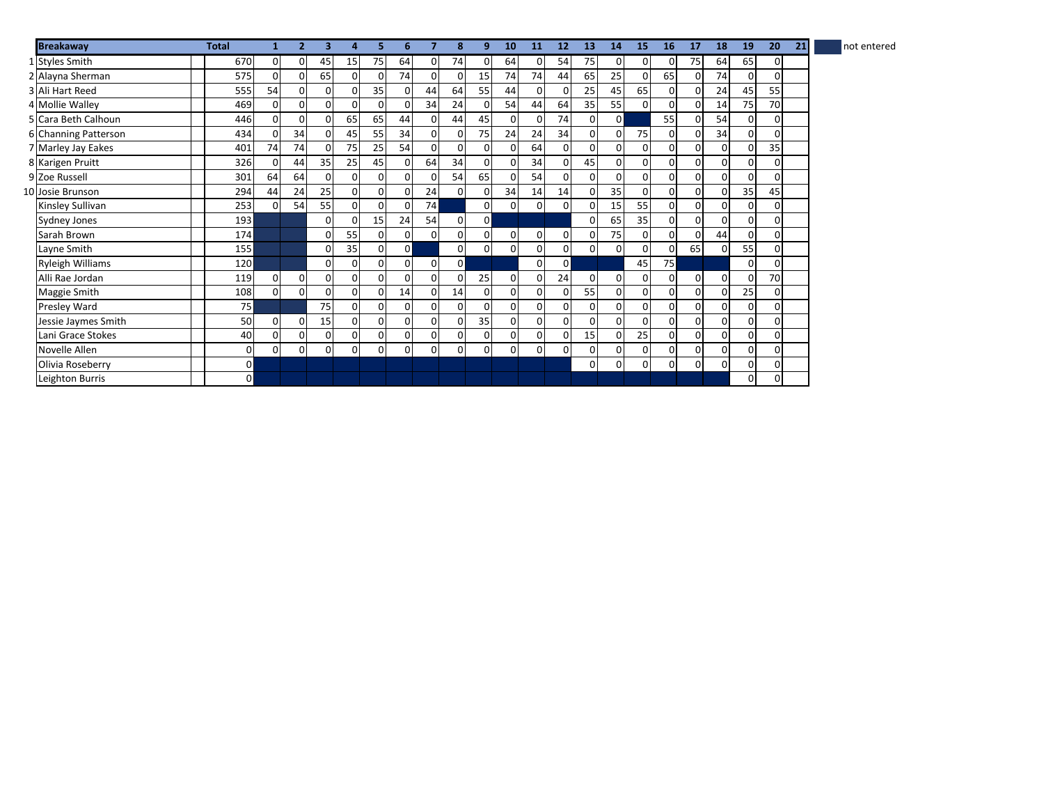| <b>Breakaway</b>        | <b>Total</b>   |          | $\overline{2}$ | з        | 4               |          | 6              |                | 8              | 9              | 10             | 11             | 12             | 13             | 14       | 15             | 16           | 17       | 18       | 19             | 20             | 21 | not entered |
|-------------------------|----------------|----------|----------------|----------|-----------------|----------|----------------|----------------|----------------|----------------|----------------|----------------|----------------|----------------|----------|----------------|--------------|----------|----------|----------------|----------------|----|-------------|
| 1 Styles Smith          | 670            | 0        | $\mathbf{0}$   | 45       | 15 <sup>1</sup> | 75       | 64             | $\overline{0}$ | 74             | 0              | 64             | $\overline{0}$ | 54             | 75             | 0        | $\mathbf{0}$   | 0            | 75       | 64       | 65             | 0              |    |             |
| 2 Alayna Sherman        | 575            |          | 0              | 65       | $\mathbf{0}$    | O        | 74             | $\Omega$       | 0              | 15             | 74             | 74             | 44             | 65             | 25       | $\Omega$       | 65           | 0        | 74       | $\Omega$       | 0              |    |             |
| 3 Ali Hart Reed         | 555            | 54       | 0              | $\Omega$ | 0               | 35       | 0              | 44             | 64             | 55             | 44             | $\Omega$       | 0              | 25             | 45       | 65             | $\Omega$     | $\Omega$ | 24       | 45             | 55             |    |             |
| 4 Mollie Walley         | 469            |          | $\overline{0}$ | $\Omega$ | $\mathbf{0}$    | $\Omega$ | 0              | 34             | 24             | 0              | 54             | 44             | 64             | 35             | 55       | $\Omega$       | 0            |          | 14       | 75             | 70             |    |             |
| 5 Cara Beth Calhoun     | 446            |          | 0              | 0        | 65              | 65       | 44             | $\overline{0}$ | 44             | 45             | 0              | $\overline{0}$ | 74             | 01             | $\Omega$ |                | 55           |          | 54       | $\overline{0}$ | 0              |    |             |
| 6 Channing Patterson    | 434            |          | 34             | 0        | 45              | 55       | 34             | $\overline{0}$ | $\overline{0}$ | 75             | 24             | 24             | 34             | $\overline{0}$ | 0        | 75             | 0            | O        | 34       | 0              | 0              |    |             |
| 7 Marley Jay Eakes      | 401            | 74       | 74             | 0        | 75              | 25       | 54             | $\Omega$       | $\mathbf{0}$   | $\Omega$       | 0              | 64             | $\overline{0}$ | $\Omega$       | 0        | $\Omega$       | 0            | 0        | οI       | 0              | 35             |    |             |
| 8 Karigen Pruitt        | 326            |          | 44             | 35       | 25              | 45       | 0              | 64             | 34             | 0              | 0              | 34             | $\mathbf{0}$   | 45             | 0l       | $\overline{0}$ | $\mathsf{o}$ |          | 01       | 0              | 0              |    |             |
| 9 Zoe Russell           | 301            | 64       | 64             | 0        | $\mathbf{0}$    | 0        | $\overline{0}$ | $\Omega$       | 54             | 65             | 0              | 54             | $\overline{0}$ | 01             | οI       | $\Omega$       | 0            |          | οI       | 0              | $\Omega$       |    |             |
| 10 Josie Brunson        | 294            | 44       | 24             | 25       | $\mathbf{0}$    | $\Omega$ | $\overline{0}$ | 24             | $\mathsf{o}$   | 0              | 34             | 14             | 14             | $\overline{0}$ | 35       | $\overline{0}$ | 0            |          | 0        | 35             | 45             |    |             |
| Kinsley Sullivan        | 253            |          | 54             | 55       | $\mathbf{0}$    | $\Omega$ | $\overline{0}$ | 74             |                | $\Omega$       | $\overline{0}$ | $\overline{0}$ | $\overline{0}$ | $\Omega$       | 15       | 55             | <sub>0</sub> | 0        | ٥I       | $\Omega$       | $\Omega$       |    |             |
| <b>Sydney Jones</b>     | 193            |          |                | 0        | $\mathbf 0$     | 15       | 24             | 54             | $\overline{0}$ | $\overline{0}$ |                |                |                | $\Omega$       | 65       | 35             | 0            | 0        | 0        | $\overline{0}$ | 0              |    |             |
| Sarah Brown             | 174            |          |                | 0        | 55              | $\Omega$ | $\overline{0}$ | $\overline{0}$ | $\overline{0}$ | 0              | 0              | $\overline{0}$ | 0              | $\overline{0}$ | 75       | $\overline{0}$ | 0            | $\Omega$ | 44       | $\mathbf 0$    | οI             |    |             |
| Layne Smith             | 155            |          |                | 0        | 35              | $\Omega$ | $\overline{0}$ |                | $\overline{0}$ | 0              | $\mathsf{o}$   | $\overline{0}$ | 0              | $\Omega$       | 0l       | $\Omega$       | $\Omega$     | 65       | οI       | 55             | οI             |    |             |
| <b>Ryleigh Williams</b> | 120            |          |                | 0        | $\overline{0}$  | $\Omega$ | $\overline{0}$ | $\overline{0}$ | οI             |                |                | $\overline{0}$ | οI             |                |          | 45             | 75           |          |          | $\mathbf 0$    | 0              |    |             |
| Alli Rae Jordan         | 119            | $\Omega$ | $\mathbf{0}$   | 0        | $\mathbf 0$     | $\Omega$ | $\overline{0}$ | $\Omega$       | 0              | 25             | 0              | $\overline{0}$ | 24             | $\Omega$       | 0        | $\overline{0}$ | 0            | $\Omega$ | 0        | $\Omega$       | 70             |    |             |
| Maggie Smith            | 108            | 0        | $\overline{0}$ | $\Omega$ | $\mathbf{0}$    | $\Omega$ | 14             | $\Omega$       | 14             | $\Omega$       | 0              | $\overline{0}$ | 0              | 55             | 0        | $\Omega$       | <sub>0</sub> | $\Omega$ | $\Omega$ | 25             | οI             |    |             |
| <b>Presley Ward</b>     | 75             |          |                | 75       | $\mathbf{0}$    | $\Omega$ | $\overline{0}$ | $\Omega$       | $\mathbf 0$    | 0              | 0              | $\overline{0}$ | $\mathsf{o}$   | $\Omega$       | 0        | $\Omega$       | 0            | $\Omega$ | οI       | $\Omega$       | οI             |    |             |
| Jessie Jaymes Smith     | 50             |          | 0              | 15       | $\overline{0}$  | 0        | $\overline{0}$ | $\Omega$       | 0              | 35             | $\mathsf{o}$   | $\overline{0}$ | $\overline{0}$ | $\Omega$       | 0l       | $\Omega$       | $\mathsf{o}$ | 0        | οI       | 0              | $\overline{0}$ |    |             |
| Lani Grace Stokes       | 40             |          | $\Omega$       | 0        | $\mathbf{0}$    | $\Omega$ | $\overline{0}$ | $\overline{0}$ | $\mathbf{0}$   | $\Omega$       | οI             | $\overline{0}$ | $\mathbf{0}$   | 15             | 0        | 25             | <sub>0</sub> | $\Omega$ | $\Omega$ | $\overline{0}$ | οI             |    |             |
| Novelle Allen           | $\Omega$       | O        | $\Omega$       | $\Omega$ | $\Omega$        | $\Omega$ | $\overline{0}$ | $\Omega$       | $\mathbf{0}$   | $\Omega$       | 0              | $\Omega$       | $\mathbf{0}$   | $\Omega$       | οI       | $\Omega$       | $\mathsf{o}$ | 0        | οI       | $\Omega$       | $\Omega$       |    |             |
| Olivia Roseberry        | $\overline{0}$ |          |                |          |                 |          |                |                |                |                |                |                |                | $\overline{0}$ | 0        | $\overline{0}$ | οI           | 0        | 01       | $\overline{0}$ | $\overline{0}$ |    |             |
| Leighton Burris         | $\Omega$       |          |                |          |                 |          |                |                |                |                |                |                |                |                |          |                |              |          |          | $\Omega$       | $\Omega$       |    |             |